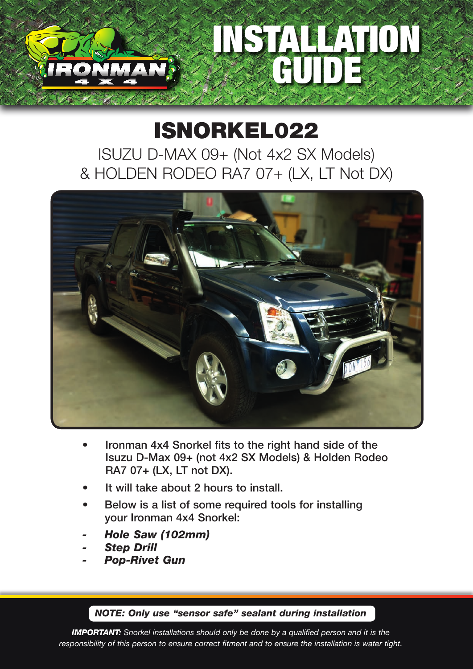## STALLEATIO GUIDE

## ISNORKEL022

ISUZU D-MAX 09+ (Not 4x2 SX Models) & HOLDEN RODEO RA7 07+ (LX, LT Not DX)



- Ironman 4x4 Snorkel fits to the right hand side of the Isuzu D-Max 09+ (not 4x2 SX Models) & Holden Rodeo RA7 07+ (LX, LT not DX).
- It will take about 2 hours to install.
- Below is a list of some required tools for installing your Ironman 4x4 Snorkel:
- *- Hole Saw (102mm)*
- *- Step Drill*
- *- Pop-Rivet Gun*

## *NOTE: Only use "sensor safe" sealant during installation*

*IMPORTANT: Snorkel installations should only be done by a qualified person and it is the responsibility of this person to ensure correct fitment and to ensure the installation is water tight.*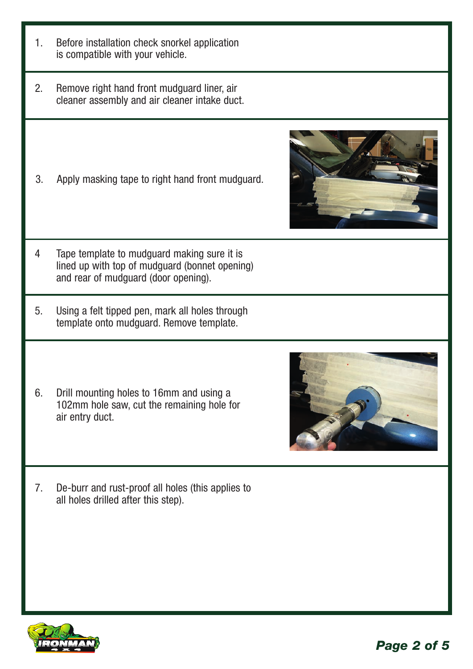- 1. Before installation check snorkel application is compatible with your vehicle.
- 2. Remove right hand front mudguard liner, air cleaner assembly and air cleaner intake duct.
- 3. Apply masking tape to right hand front mudguard.



- 4 Tape template to mudguard making sure it is lined up with top of mudguard (bonnet opening) and rear of mudguard (door opening).
- 5. Using a felt tipped pen, mark all holes through template onto mudguard. Remove template.
- 6. Drill mounting holes to 16mm and using a 102mm hole saw, cut the remaining hole for air entry duct.



7. De-burr and rust-proof all holes (this applies to all holes drilled after this step).

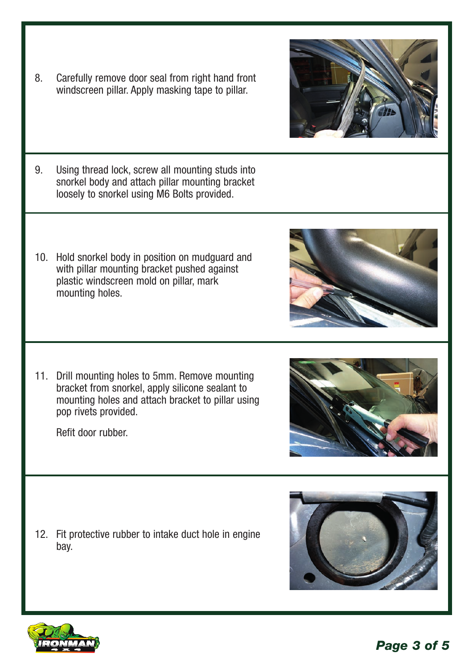*Page 3 of 5*

- 8. Carefully remove door seal from right hand front windscreen pillar. Apply masking tape to pillar.
- 9. Using thread lock, screw all mounting studs into snorkel body and attach pillar mounting bracket loosely to snorkel using M6 Bolts provided.
- 10. Hold snorkel body in position on mudguard and with pillar mounting bracket pushed against plastic windscreen mold on pillar, mark mounting holes.

11. Drill mounting holes to 5mm. Remove mounting bracket from snorkel, apply silicone sealant to mounting holes and attach bracket to pillar using pop rivets provided.

Refit door rubber.

12. Fit protective rubber to intake duct hole in engine bay.









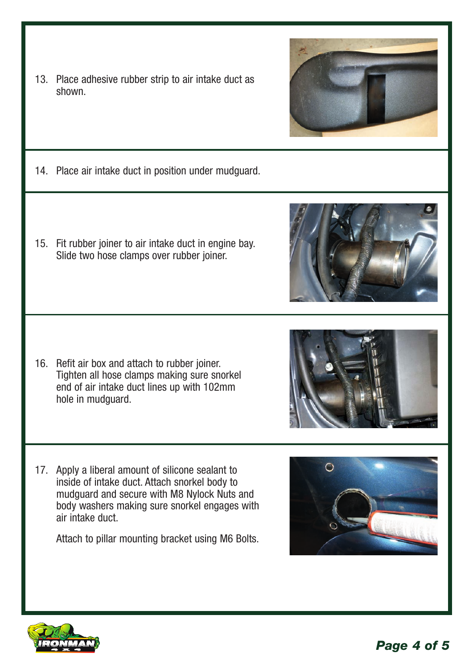- 13. Place adhesive rubber strip to air intake duct as shown.
- 14. Place air intake duct in position under mudguard.
- 15. Fit rubber joiner to air intake duct in engine bay. Slide two hose clamps over rubber joiner.

- 16. Refit air box and attach to rubber joiner. Tighten all hose clamps making sure snorkel end of air intake duct lines up with 102mm hole in mudguard.
- 17. Apply a liberal amount of silicone sealant to inside of intake duct. Attach snorkel body to mudguard and secure with M8 Nylock Nuts and body washers making sure snorkel engages with air intake duct.

Attach to pillar mounting bracket using M6 Bolts.